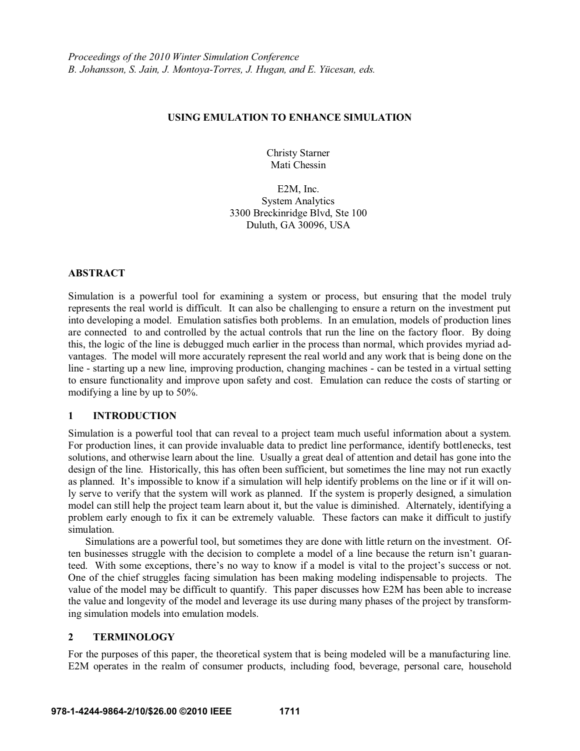#### **USING EMULATION TO ENHANCE SIMULATION**

Christy Starner Mati Chessin

E2M, Inc. System Analytics 3300 Breckinridge Blvd, Ste 100 Duluth, GA 30096, USA

#### **ABSTRACT**

Simulation is a powerful tool for examining a system or process, but ensuring that the model truly represents the real world is difficult. It can also be challenging to ensure a return on the investment put into developing a model. Emulation satisfies both problems. In an emulation, models of production lines are connected to and controlled by the actual controls that run the line on the factory floor. By doing this, the logic of the line is debugged much earlier in the process than normal, which provides myriad advantages. The model will more accurately represent the real world and any work that is being done on the line - starting up a new line, improving production, changing machines - can be tested in a virtual setting to ensure functionality and improve upon safety and cost. Emulation can reduce the costs of starting or modifying a line by up to 50%.

#### **1 INTRODUCTION**

Simulation is a powerful tool that can reveal to a project team much useful information about a system. For production lines, it can provide invaluable data to predict line performance, identify bottlenecks, test solutions, and otherwise learn about the line. Usually a great deal of attention and detail has gone into the design of the line. Historically, this has often been sufficient, but sometimes the line may not run exactly as planned. It's impossible to know if a simulation will help identify problems on the line or if it will only serve to verify that the system will work as planned. If the system is properly designed, a simulation model can still help the project team learn about it, but the value is diminished. Alternately, identifying a problem early enough to fix it can be extremely valuable. These factors can make it difficult to justify simulation.

 Simulations are a powerful tool, but sometimes they are done with little return on the investment. Often businesses struggle with the decision to complete a model of a line because the return isn't guaranteed. With some exceptions, there's no way to know if a model is vital to the project's success or not. One of the chief struggles facing simulation has been making modeling indispensable to projects. The value of the model may be difficult to quantify. This paper discusses how E2M has been able to increase the value and longevity of the model and leverage its use during many phases of the project by transforming simulation models into emulation models.

#### **2 TERMINOLOGY**

For the purposes of this paper, the theoretical system that is being modeled will be a manufacturing line. E2M operates in the realm of consumer products, including food, beverage, personal care, household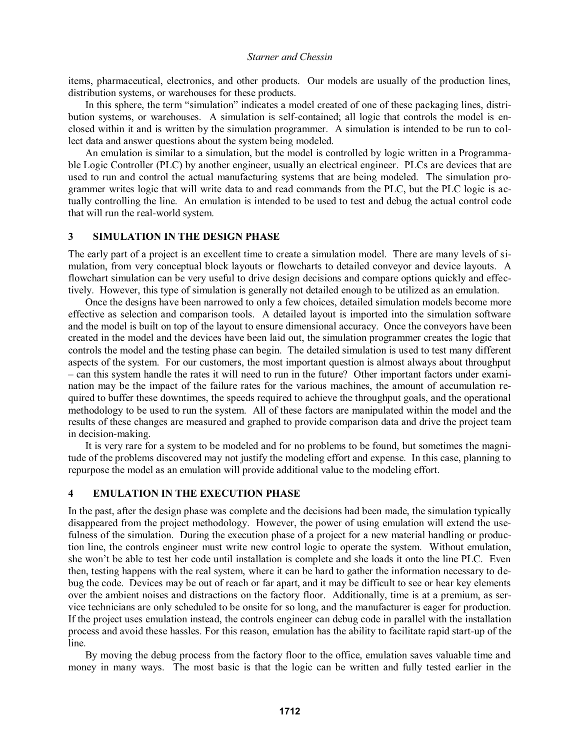#### *Starner and Chessin*

items, pharmaceutical, electronics, and other products. Our models are usually of the production lines, distribution systems, or warehouses for these products.

In this sphere, the term "simulation" indicates a model created of one of these packaging lines, distribution systems, or warehouses. A simulation is self-contained; all logic that controls the model is enclosed within it and is written by the simulation programmer. A simulation is intended to be run to collect data and answer questions about the system being modeled.

 An emulation is similar to a simulation, but the model is controlled by logic written in a Programmable Logic Controller (PLC) by another engineer, usually an electrical engineer. PLCs are devices that are used to run and control the actual manufacturing systems that are being modeled. The simulation programmer writes logic that will write data to and read commands from the PLC, but the PLC logic is actually controlling the line. An emulation is intended to be used to test and debug the actual control code that will run the real-world system.

# **3 SIMULATION IN THE DESIGN PHASE**

The early part of a project is an excellent time to create a simulation model. There are many levels of simulation, from very conceptual block layouts or flowcharts to detailed conveyor and device layouts. A flowchart simulation can be very useful to drive design decisions and compare options quickly and effectively. However, this type of simulation is generally not detailed enough to be utilized as an emulation.

 Once the designs have been narrowed to only a few choices, detailed simulation models become more effective as selection and comparison tools. A detailed layout is imported into the simulation software and the model is built on top of the layout to ensure dimensional accuracy. Once the conveyors have been created in the model and the devices have been laid out, the simulation programmer creates the logic that controls the model and the testing phase can begin. The detailed simulation is used to test many different aspects of the system. For our customers, the most important question is almost always about throughput - can this system handle the rates it will need to run in the future? Other important factors under examination may be the impact of the failure rates for the various machines, the amount of accumulation required to buffer these downtimes, the speeds required to achieve the throughput goals, and the operational methodology to be used to run the system. All of these factors are manipulated within the model and the results of these changes are measured and graphed to provide comparison data and drive the project team in decision-making.

 It is very rare for a system to be modeled and for no problems to be found, but sometimes the magnitude of the problems discovered may not justify the modeling effort and expense. In this case, planning to repurpose the model as an emulation will provide additional value to the modeling effort.

### **4 EMULATION IN THE EXECUTION PHASE**

In the past, after the design phase was complete and the decisions had been made, the simulation typically disappeared from the project methodology. However, the power of using emulation will extend the usefulness of the simulation. During the execution phase of a project for a new material handling or production line, the controls engineer must write new control logic to operate the system. Without emulation, she won't be able to test her code until installation is complete and she loads it onto the line PLC. Even then, testing happens with the real system, where it can be hard to gather the information necessary to debug the code. Devices may be out of reach or far apart, and it may be difficult to see or hear key elements over the ambient noises and distractions on the factory floor. Additionally, time is at a premium, as service technicians are only scheduled to be onsite for so long, and the manufacturer is eager for production. If the project uses emulation instead, the controls engineer can debug code in parallel with the installation process and avoid these hassles. For this reason, emulation has the ability to facilitate rapid start-up of the line.

 By moving the debug process from the factory floor to the office, emulation saves valuable time and money in many ways. The most basic is that the logic can be written and fully tested earlier in the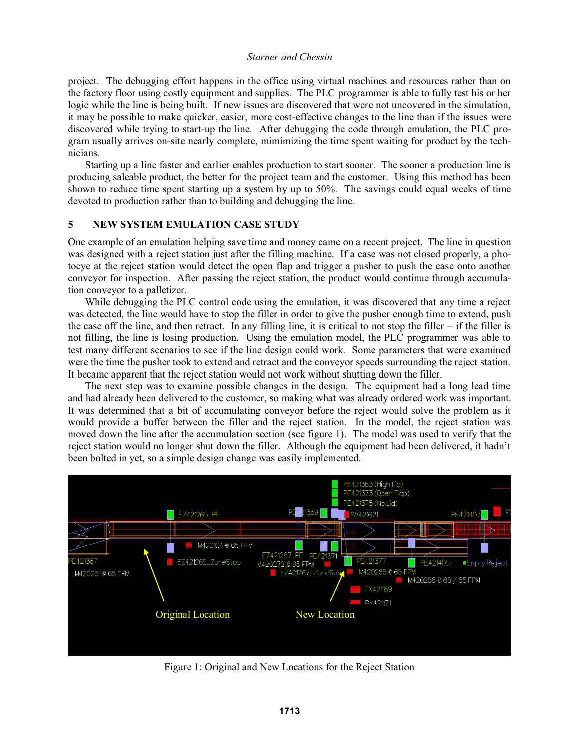#### *Starner and Chessin*

project. The debugging effort happens in the office using virtual machines and resources rather than on the factory floor using costly equipment and supplies. The PLC programmer is able to fully test his or her logic while the line is being built. If new issues are discovered that were not uncovered in the simulation, it may be possible to make quicker, easier, more cost-effective changes to the line than if the issues were discovered while trying to start-up the line. After debugging the code through emulation, the PLC program usually arrives on-site nearly complete, mimimizing the time spent waiting for product by the technicians.

 Starting up a line faster and earlier enables production to start sooner. The sooner a production line is producing saleable product, the better for the project team and the customer. Using this method has been shown to reduce time spent starting up a system by up to 50%. The savings could equal weeks of time devoted to production rather than to building and debugging the line.

### **5 NEW SYSTEM EMULATION CASE STUDY**

One example of an emulation helping save time and money came on a recent project. The line in question was designed with a reject station just after the filling machine. If a case was not closed properly, a photoeye at the reject station would detect the open flap and trigger a pusher to push the case onto another conveyor for inspection. After passing the reject station, the product would continue through accumulation conveyor to a palletizer.

While debugging the PLC control code using the emulation, it was discovered that any time a reject was detected, the line would have to stop the filler in order to give the pusher enough time to extend, push the case off the line, and then retract. In any filling line, it is critical to not stop the filler  $-$  if the filler is not filling, the line is losing production. Using the emulation model, the PLC programmer was able to test many different scenarios to see if the line design could work. Some parameters that were examined were the time the pusher took to extend and retract and the conveyor speeds surrounding the reject station. It became apparent that the reject station would not work without shutting down the filler.

The next step was to examine possible changes in the design. The equipment had a long lead time and had already been delivered to the customer, so making what was already ordered work was important. It was determined that a bit of accumulating conveyor before the reject would solve the problem as it would provide a buffer between the filler and the reject station. In the model, the reject station was moved down the line after the accumulation section (see figure 1). The model was used to verify that the reject station would no longer shut down the filler. Although the equipment had been delivered, it hadn't been bolted in yet, so a simple design change was easily implemented.



Figure 1: Original and New Locations for the Reject Station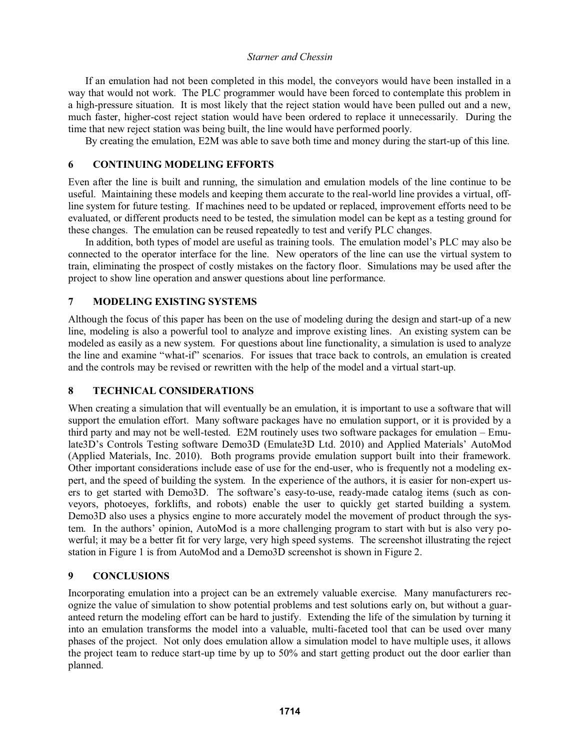### *Starner and Chessin*

If an emulation had not been completed in this model, the conveyors would have been installed in a way that would not work. The PLC programmer would have been forced to contemplate this problem in a high-pressure situation. It is most likely that the reject station would have been pulled out and a new, much faster, higher-cost reject station would have been ordered to replace it unnecessarily. During the time that new reject station was being built, the line would have performed poorly.

By creating the emulation, E2M was able to save both time and money during the start-up of this line.

# **6 CONTINUING MODELING EFFORTS**

Even after the line is built and running, the simulation and emulation models of the line continue to be useful. Maintaining these models and keeping them accurate to the real-world line provides a virtual, offline system for future testing. If machines need to be updated or replaced, improvement efforts need to be evaluated, or different products need to be tested, the simulation model can be kept as a testing ground for these changes. The emulation can be reused repeatedly to test and verify PLC changes.

In addition, both types of model are useful as training tools. The emulation model's PLC may also be connected to the operator interface for the line. New operators of the line can use the virtual system to train, eliminating the prospect of costly mistakes on the factory floor. Simulations may be used after the project to show line operation and answer questions about line performance.

# **7 MODELING EXISTING SYSTEMS**

Although the focus of this paper has been on the use of modeling during the design and start-up of a new line, modeling is also a powerful tool to analyze and improve existing lines. An existing system can be modeled as easily as a new system. For questions about line functionality, a simulation is used to analyze the line and examine "what-if" scenarios. For issues that trace back to controls, an emulation is created and the controls may be revised or rewritten with the help of the model and a virtual start-up.

# **8 TECHNICAL CONSIDERATIONS**

When creating a simulation that will eventually be an emulation, it is important to use a software that will support the emulation effort. Many software packages have no emulation support, or it is provided by a third party and may not be well-tested. E2M routinely uses two software packages for emulation  $-$  Emulate3D's Controls Testing software Demo3D (Emulate3D Ltd. 2010) and Applied Materials' AutoMod (Applied Materials, Inc. 2010). Both programs provide emulation support built into their framework. Other important considerations include ease of use for the end-user, who is frequently not a modeling expert, and the speed of building the system. In the experience of the authors, it is easier for non-expert users to get started with Demo3D. The software's easy-to-use, ready-made catalog items (such as conveyors, photoeyes, forklifts, and robots) enable the user to quickly get started building a system. Demo3D also uses a physics engine to more accurately model the movement of product through the system. In the authors' opinion, AutoMod is a more challenging program to start with but is also very powerful; it may be a better fit for very large, very high speed systems. The screenshot illustrating the reject station in Figure 1 is from AutoMod and a Demo3D screenshot is shown in Figure 2.

# **9 CONCLUSIONS**

Incorporating emulation into a project can be an extremely valuable exercise. Many manufacturers recognize the value of simulation to show potential problems and test solutions early on, but without a guaranteed return the modeling effort can be hard to justify. Extending the life of the simulation by turning it into an emulation transforms the model into a valuable, multi-faceted tool that can be used over many phases of the project. Not only does emulation allow a simulation model to have multiple uses, it allows the project team to reduce start-up time by up to 50% and start getting product out the door earlier than planned.